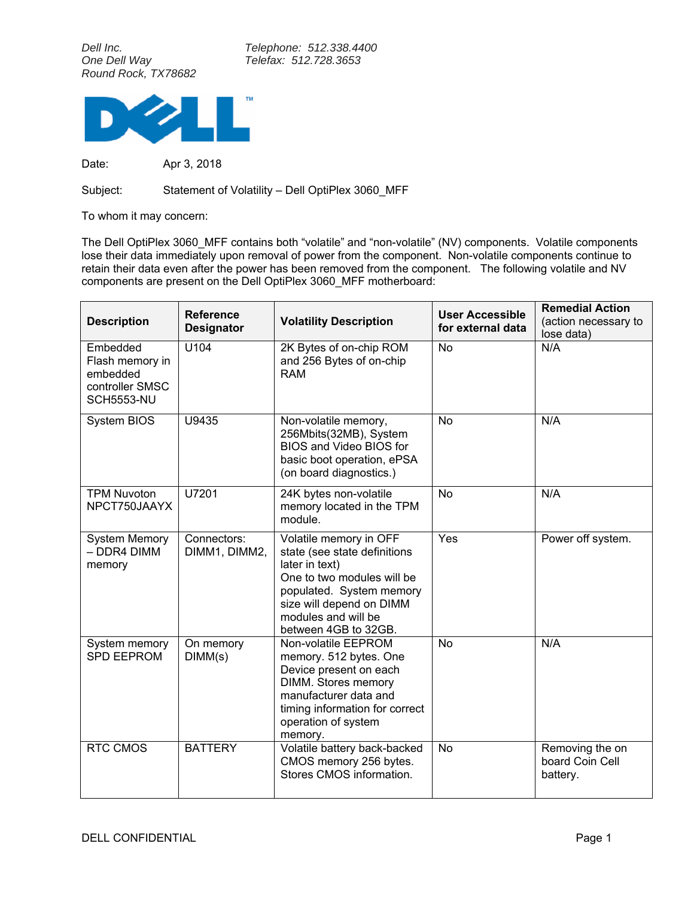*Round Rock, TX78682* 

*Dell Inc. Telephone: 512.338.4400 One Dell Way Telefax: 512.728.3653* 



Date: Apr 3, 2018

Subject: Statement of Volatility – Dell OptiPlex 3060\_MFF

To whom it may concern:

The Dell OptiPlex 3060\_MFF contains both "volatile" and "non-volatile" (NV) components. Volatile components lose their data immediately upon removal of power from the component. Non-volatile components continue to retain their data even after the power has been removed from the component. The following volatile and NV components are present on the Dell OptiPlex 3060\_MFF motherboard:

| <b>Description</b>                                                              | <b>Reference</b><br><b>Designator</b> | <b>Volatility Description</b>                                                                                                                                                                                 | <b>User Accessible</b><br>for external data | <b>Remedial Action</b><br>(action necessary to<br>lose data) |  |
|---------------------------------------------------------------------------------|---------------------------------------|---------------------------------------------------------------------------------------------------------------------------------------------------------------------------------------------------------------|---------------------------------------------|--------------------------------------------------------------|--|
| Embedded<br>Flash memory in<br>embedded<br>controller SMSC<br><b>SCH5553-NU</b> | U104                                  | 2K Bytes of on-chip ROM<br>and 256 Bytes of on-chip<br><b>RAM</b>                                                                                                                                             | <b>No</b>                                   | N/A                                                          |  |
| System BIOS                                                                     | U9435                                 | Non-volatile memory,<br>256Mbits(32MB), System<br>BIOS and Video BIOS for<br>basic boot operation, ePSA<br>(on board diagnostics.)                                                                            | <b>No</b>                                   | N/A                                                          |  |
| <b>TPM Nuvoton</b><br>NPCT750JAAYX                                              | U7201                                 | 24K bytes non-volatile<br>memory located in the TPM<br>module.                                                                                                                                                | <b>No</b>                                   | N/A                                                          |  |
| <b>System Memory</b><br>- DDR4 DIMM<br>memory                                   | Connectors:<br>DIMM1, DIMM2,          | Volatile memory in OFF<br>state (see state definitions<br>later in text)<br>One to two modules will be<br>populated. System memory<br>size will depend on DIMM<br>modules and will be<br>between 4GB to 32GB. | Yes                                         | Power off system.                                            |  |
| System memory<br><b>SPD EEPROM</b>                                              | On memory<br>DIMM(s)                  | Non-volatile EEPROM<br>memory. 512 bytes. One<br>Device present on each<br><b>DIMM.</b> Stores memory<br>manufacturer data and<br>timing information for correct<br>operation of system<br>memory.            | <b>No</b>                                   | N/A                                                          |  |
| <b>RTC CMOS</b>                                                                 | <b>BATTERY</b>                        | Volatile battery back-backed<br>CMOS memory 256 bytes.<br>Stores CMOS information.                                                                                                                            | <b>No</b>                                   | Removing the on<br>board Coin Cell<br>battery.               |  |